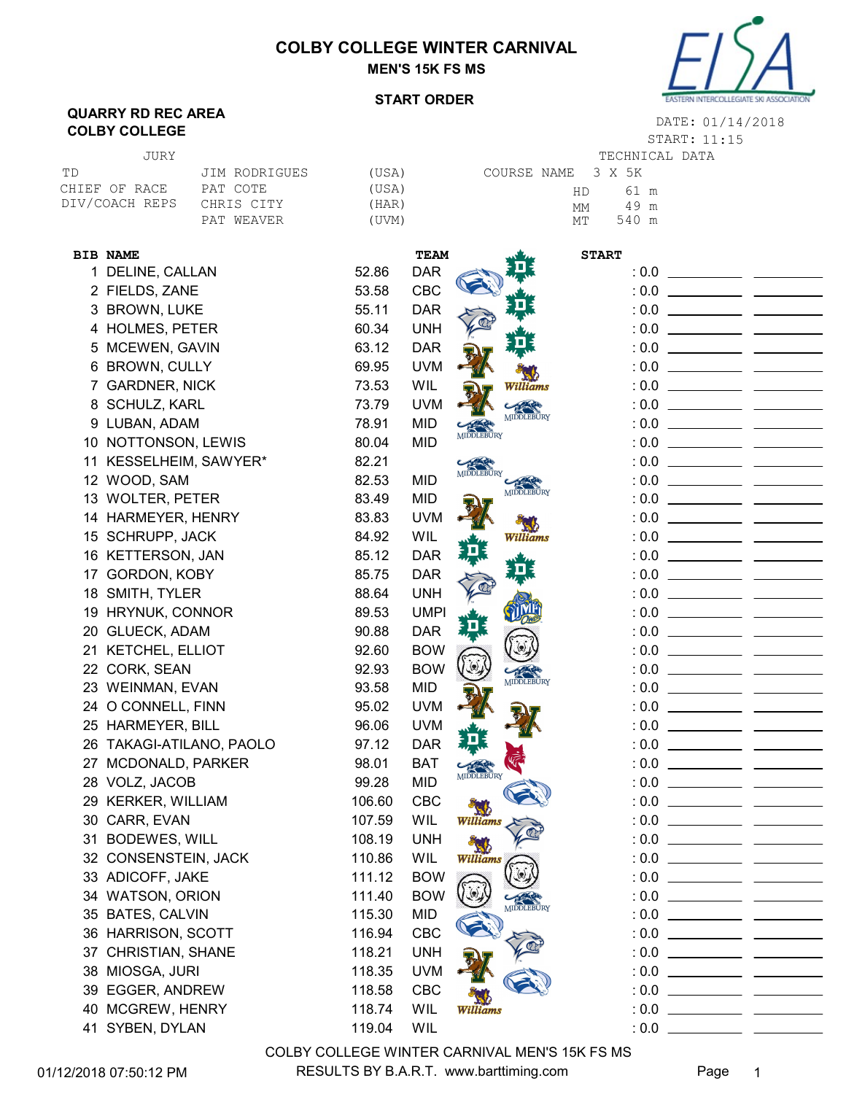## COLBY COLLEGE WINTER CARNIVAL MEN'S 15K FS MS



## START ORDER

## QUARRY RD REC AREA **COLBY COLLEGE COLLEGE 11:15**

START: 11:15 DATE: 01/14/2018

| JURY           |               |       |                    | TECHNICAL DATA |  |
|----------------|---------------|-------|--------------------|----------------|--|
| TD             | JIM RODRIGUES | (USA) | COURSE NAME 3 X 5K |                |  |
| CHIEF OF RACE  | PAT COTE      | (USA) | HD                 | 61 m           |  |
| DIV/COACH REPS | CHRIS CITY    | (HAR) | МM                 | 49 m           |  |
|                | PAT WEAVER    | 'UVM) | МT                 | 540 m          |  |
|                |               |       |                    |                |  |

| <b>BIB NAME</b>          |        | TEAM        |                                        | <b>START</b> |  |
|--------------------------|--------|-------------|----------------------------------------|--------------|--|
| 1 DELINE, CALLAN         | 52.86  | <b>DAR</b>  |                                        |              |  |
| 2 FIELDS, ZANE           | 53.58  | <b>CBC</b>  |                                        |              |  |
| 3 BROWN, LUKE            | 55.11  | <b>DAR</b>  | י בנ                                   |              |  |
| 4 HOLMES, PETER          | 60.34  | <b>UNH</b>  |                                        |              |  |
| 5 MCEWEN, GAVIN          | 63.12  | <b>DAR</b>  |                                        |              |  |
| 6 BROWN, CULLY           | 69.95  | <b>UVM</b>  |                                        |              |  |
| 7 GARDNER, NICK          | 73.53  | WIL         | Williams                               |              |  |
| 8 SCHULZ, KARL           | 73.79  | <b>UVM</b>  |                                        |              |  |
| 9 LUBAN, ADAM            | 78.91  | <b>MID</b>  | <b>MIDDLEBURY</b><br><b>MIDDLEBURY</b> |              |  |
| 10 NOTTONSON, LEWIS      | 80.04  | <b>MID</b>  |                                        |              |  |
| 11 KESSELHEIM, SAWYER*   | 82.21  |             | MIDDLEBURY                             |              |  |
| 12 WOOD, SAM             | 82.53  | <b>MID</b>  | MIDDLEBURY                             |              |  |
| 13 WOLTER, PETER         | 83.49  | <b>MID</b>  |                                        |              |  |
| 14 HARMEYER, HENRY       | 83.83  | <b>UVM</b>  |                                        |              |  |
| 15 SCHRUPP, JACK         | 84.92  | <b>WIL</b>  | Williams                               |              |  |
| 16 KETTERSON, JAN        | 85.12  | <b>DAR</b>  |                                        |              |  |
| 17 GORDON, KOBY          | 85.75  | <b>DAR</b>  |                                        |              |  |
| 18 SMITH, TYLER          | 88.64  | <b>UNH</b>  |                                        |              |  |
| 19 HRYNUK, CONNOR        | 89.53  | <b>UMPI</b> |                                        |              |  |
| 20 GLUECK, ADAM          | 90.88  | <b>DAR</b>  |                                        |              |  |
| 21 KETCHEL, ELLIOT       | 92.60  | <b>BOW</b>  |                                        |              |  |
| 22 CORK, SEAN            | 92.93  | <b>BOW</b>  | MIDDLEBURY                             |              |  |
| 23 WEINMAN, EVAN         | 93.58  | <b>MID</b>  |                                        |              |  |
| 24 O CONNELL, FINN       | 95.02  | <b>UVM</b>  |                                        |              |  |
| 25 HARMEYER, BILL        | 96.06  | <b>UVM</b>  |                                        |              |  |
| 26 TAKAGI-ATILANO, PAOLO | 97.12  | <b>DAR</b>  |                                        |              |  |
| 27 MCDONALD, PARKER      | 98.01  | <b>BAT</b>  | MIDDLEBURY                             |              |  |
| 28 VOLZ, JACOB           | 99.28  | <b>MID</b>  |                                        |              |  |
| 29 KERKER, WILLIAM       | 106.60 | <b>CBC</b>  |                                        |              |  |
| 30 CARR, EVAN            | 107.59 | <b>WIL</b>  | Williams                               |              |  |
| 31 BODEWES, WILL         | 108.19 | <b>UNH</b>  |                                        |              |  |
| 32 CONSENSTEIN, JACK     | 110.86 | WIL         | Williams                               |              |  |
| 33 ADICOFF, JAKE         | 111.12 | <b>BOW</b>  |                                        |              |  |
| 34 WATSON, ORION         | 111.40 | <b>BOW</b>  | MIDDLEBURY                             |              |  |
| 35 BATES, CALVIN         | 115.30 | <b>MID</b>  |                                        |              |  |
| 36 HARRISON, SCOTT       | 116.94 | CBC         |                                        |              |  |
| 37 CHRISTIAN, SHANE      | 118.21 | <b>UNH</b>  |                                        |              |  |
| 38 MIOSGA, JURI          | 118.35 | <b>UVM</b>  |                                        |              |  |
| 39 EGGER, ANDREW         | 118.58 | CBC         |                                        |              |  |
| 40 MCGREW, HENRY         | 118.74 | <b>WIL</b>  | Williams                               |              |  |
| 41 SYBEN, DYLAN          | 119.04 | WIL         |                                        |              |  |

01/12/2018 07:50:12 PM RESULTS BY B.A.R.T. www.barttiming.com Page 1 COLBY COLLEGE WINTER CARNIVAL MEN'S 15K FS MS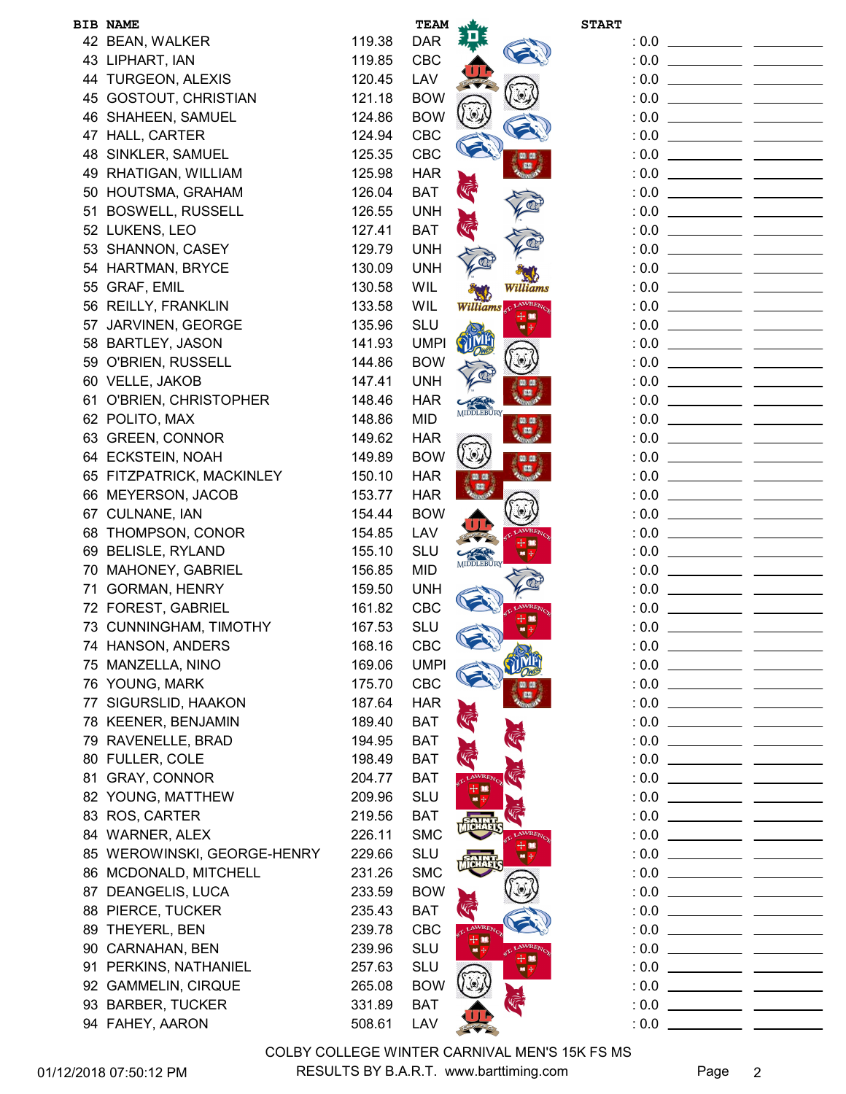|    | <b>BIB NAME</b>                                      |                  | TEAM                     |                    | <b>START</b> |  |
|----|------------------------------------------------------|------------------|--------------------------|--------------------|--------------|--|
|    | 42 BEAN, WALKER                                      | 119.38           | <b>DAR</b>               |                    |              |  |
|    | 43 LIPHART, IAN                                      | 119.85           | <b>CBC</b>               |                    |              |  |
|    | 44 TURGEON, ALEXIS                                   | 120.45           | LAV                      |                    |              |  |
|    | 45 GOSTOUT, CHRISTIAN                                | 121.18           | <b>BOW</b>               |                    |              |  |
|    | 46 SHAHEEN, SAMUEL                                   | 124.86           | <b>BOW</b>               |                    |              |  |
|    | 47 HALL, CARTER                                      | 124.94           | CBC                      |                    |              |  |
|    | 48 SINKLER, SAMUEL                                   | 125.35           | CBC                      |                    |              |  |
|    | 49 RHATIGAN, WILLIAM                                 | 125.98           | <b>HAR</b>               |                    |              |  |
|    | 50 HOUTSMA, GRAHAM                                   | 126.04           | <b>BAT</b>               | <b>VELLE</b>       |              |  |
|    | 51 BOSWELL, RUSSELL                                  | 126.55           | <b>UNH</b>               |                    |              |  |
|    | 52 LUKENS, LEO                                       | 127.41           | <b>BAT</b>               |                    |              |  |
|    | 53 SHANNON, CASEY                                    | 129.79           | <b>UNH</b>               |                    |              |  |
|    | 54 HARTMAN, BRYCE                                    | 130.09           | <b>UNH</b>               |                    |              |  |
|    | 55 GRAF, EMIL                                        | 130.58           | WIL                      | Williams           |              |  |
|    | 56 REILLY, FRANKLIN                                  | 133.58           | WIL                      | Williams & LAWRENC |              |  |
|    | 57 JARVINEN, GEORGE                                  | 135.96           | <b>SLU</b>               | $\frac{1}{2}$      |              |  |
|    | 58 BARTLEY, JASON                                    | 141.93           | <b>UMPI</b>              |                    |              |  |
|    | 59 O'BRIEN, RUSSELL                                  | 144.86           | <b>BOW</b>               |                    |              |  |
|    | 60 VELLE, JAKOB                                      | 147.41           | <b>UNH</b>               |                    |              |  |
|    | 61 O'BRIEN, CHRISTOPHER                              | 148.46           | <b>HAR</b>               | <b>MIDDLEBURY</b>  |              |  |
|    | 62 POLITO, MAX                                       | 148.86           | <b>MID</b>               |                    |              |  |
|    | 63 GREEN, CONNOR                                     | 149.62           | <b>HAR</b>               |                    |              |  |
|    | 64 ECKSTEIN, NOAH                                    | 149.89           | <b>BOW</b>               |                    |              |  |
|    | 65 FITZPATRICK, MACKINLEY                            | 150.10           | <b>HAR</b>               |                    |              |  |
|    | 66 MEYERSON, JACOB                                   | 153.77           | <b>HAR</b>               |                    |              |  |
|    | 67 CULNANE, IAN                                      | 154.44           | <b>BOW</b>               |                    |              |  |
|    | 68 THOMPSON, CONOR                                   | 154.85           | LAV                      |                    |              |  |
|    | 69 BELISLE, RYLAND                                   | 155.10           | SLU                      | MIDDLEBURY         |              |  |
|    | 70 MAHONEY, GABRIEL                                  | 156.85           | <b>MID</b>               |                    |              |  |
| 71 | <b>GORMAN, HENRY</b>                                 | 159.50           | <b>UNH</b>               |                    |              |  |
|    | 72 FOREST, GABRIEL                                   | 161.82           | <b>CBC</b>               |                    |              |  |
|    | 73 CUNNINGHAM, TIMOTHY                               | 167.53           | SLU                      |                    | : 0.0        |  |
|    | 74 HANSON, ANDERS                                    | 168.16           | <b>CBC</b>               |                    |              |  |
|    | 75 MANZELLA, NINO                                    | 169.06           | <b>UMPI</b>              |                    |              |  |
|    | 76 YOUNG, MARK                                       | 175.70           | CBC                      |                    |              |  |
|    | 77 SIGURSLID, HAAKON                                 | 187.64           | <b>HAR</b>               |                    |              |  |
|    | 78 KEENER, BENJAMIN                                  | 189.40           | <b>BAT</b>               |                    |              |  |
|    | 79 RAVENELLE, BRAD                                   | 194.95           | <b>BAT</b>               | <b>VE</b>          |              |  |
|    | 80 FULLER, COLE                                      | 198.49<br>204.77 | <b>BAT</b>               |                    |              |  |
| 81 | <b>GRAY, CONNOR</b><br>82 YOUNG, MATTHEW             | 209.96           | <b>BAT</b><br><b>SLU</b> |                    |              |  |
|    |                                                      | 219.56           | <b>BAT</b>               |                    |              |  |
|    | 83 ROS, CARTER<br>84 WARNER, ALEX                    | 226.11           | <b>SMC</b>               |                    |              |  |
|    |                                                      | 229.66           |                          |                    |              |  |
|    | 85 WEROWINSKI, GEORGE-HENRY<br>86 MCDONALD, MITCHELL | 231.26           | <b>SLU</b><br><b>SMC</b> |                    |              |  |
|    |                                                      |                  |                          |                    |              |  |
|    | 87 DEANGELIS, LUCA                                   | 233.59           | <b>BOW</b>               |                    |              |  |
|    | 88 PIERCE, TUCKER<br>89 THEYERL, BEN                 | 235.43           | <b>BAT</b>               |                    |              |  |
|    |                                                      | 239.78           | <b>CBC</b>               |                    |              |  |
|    | 90 CARNAHAN, BEN                                     | 239.96           | <b>SLU</b><br><b>SLU</b> |                    |              |  |
|    | 91 PERKINS, NATHANIEL<br>92 GAMMELIN, CIRQUE         | 257.63<br>265.08 | <b>BOW</b>               |                    |              |  |
|    | 93 BARBER, TUCKER                                    | 331.89           | <b>BAT</b>               |                    |              |  |
|    | 94 FAHEY, AARON                                      | 508.61           | LAV                      |                    |              |  |
|    |                                                      |                  |                          |                    |              |  |

01/12/2018 07:50:12 PM RESULTS BY B.A.R.T. www.barttiming.com Page 2 COLBY COLLEGE WINTER CARNIVAL MEN'S 15K FS MS